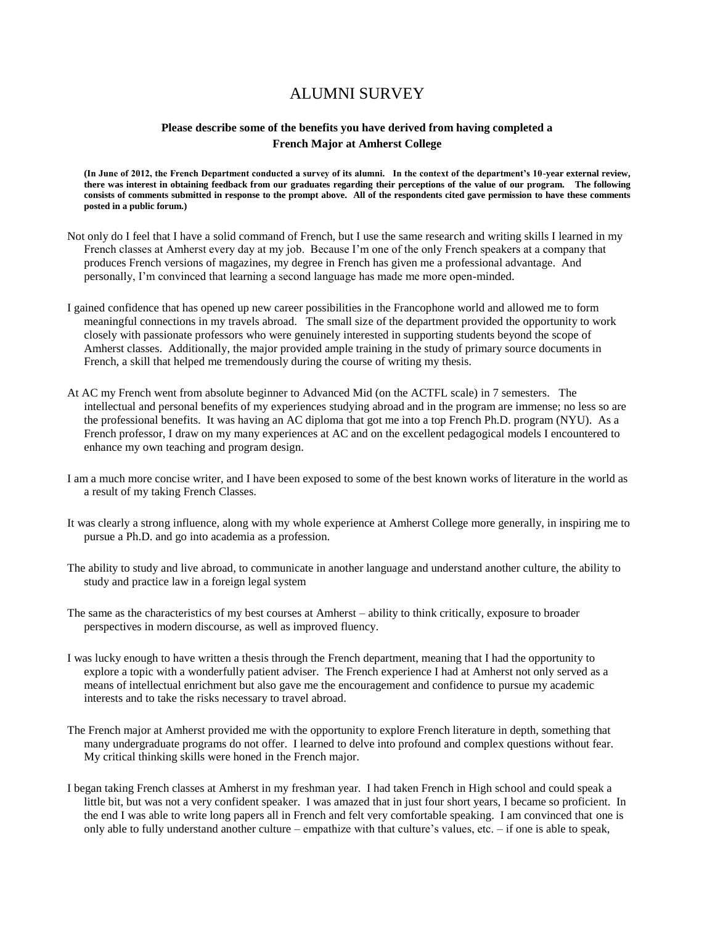## ALUMNI SURVEY

## **Please describe some of the benefits you have derived from having completed a French Major at Amherst College**

**(In June of 2012, the French Department conducted a survey of its alumni. In the context of the department's 10-year external review, there was interest in obtaining feedback from our graduates regarding their perceptions of the value of our program. The following consists of comments submitted in response to the prompt above. All of the respondents cited gave permission to have these comments posted in a public forum.)**

- Not only do I feel that I have a solid command of French, but I use the same research and writing skills I learned in my French classes at Amherst every day at my job. Because I'm one of the only French speakers at a company that produces French versions of magazines, my degree in French has given me a professional advantage. And personally, I'm convinced that learning a second language has made me more open-minded.
- I gained confidence that has opened up new career possibilities in the Francophone world and allowed me to form meaningful connections in my travels abroad. The small size of the department provided the opportunity to work closely with passionate professors who were genuinely interested in supporting students beyond the scope of Amherst classes. Additionally, the major provided ample training in the study of primary source documents in French, a skill that helped me tremendously during the course of writing my thesis.
- At AC my French went from absolute beginner to Advanced Mid (on the ACTFL scale) in 7 semesters. The intellectual and personal benefits of my experiences studying abroad and in the program are immense; no less so are the professional benefits. It was having an AC diploma that got me into a top French Ph.D. program (NYU). As a French professor, I draw on my many experiences at AC and on the excellent pedagogical models I encountered to enhance my own teaching and program design.
- I am a much more concise writer, and I have been exposed to some of the best known works of literature in the world as a result of my taking French Classes.
- It was clearly a strong influence, along with my whole experience at Amherst College more generally, in inspiring me to pursue a Ph.D. and go into academia as a profession.
- The ability to study and live abroad, to communicate in another language and understand another culture, the ability to study and practice law in a foreign legal system
- The same as the characteristics of my best courses at Amherst ability to think critically, exposure to broader perspectives in modern discourse, as well as improved fluency.
- I was lucky enough to have written a thesis through the French department, meaning that I had the opportunity to explore a topic with a wonderfully patient adviser. The French experience I had at Amherst not only served as a means of intellectual enrichment but also gave me the encouragement and confidence to pursue my academic interests and to take the risks necessary to travel abroad.
- The French major at Amherst provided me with the opportunity to explore French literature in depth, something that many undergraduate programs do not offer. I learned to delve into profound and complex questions without fear. My critical thinking skills were honed in the French major.
- I began taking French classes at Amherst in my freshman year. I had taken French in High school and could speak a little bit, but was not a very confident speaker. I was amazed that in just four short years, I became so proficient. In the end I was able to write long papers all in French and felt very comfortable speaking. I am convinced that one is only able to fully understand another culture – empathize with that culture's values, etc. – if one is able to speak,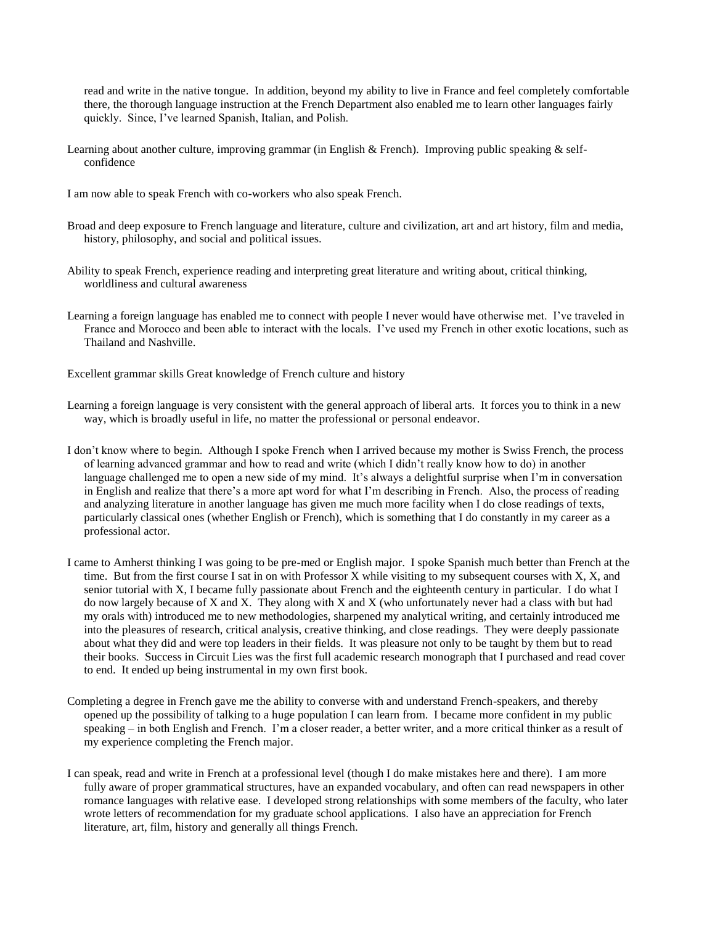read and write in the native tongue. In addition, beyond my ability to live in France and feel completely comfortable there, the thorough language instruction at the French Department also enabled me to learn other languages fairly quickly. Since, I've learned Spanish, Italian, and Polish.

- Learning about another culture, improving grammar (in English & French). Improving public speaking & selfconfidence
- I am now able to speak French with co-workers who also speak French.
- Broad and deep exposure to French language and literature, culture and civilization, art and art history, film and media, history, philosophy, and social and political issues.
- Ability to speak French, experience reading and interpreting great literature and writing about, critical thinking, worldliness and cultural awareness
- Learning a foreign language has enabled me to connect with people I never would have otherwise met. I've traveled in France and Morocco and been able to interact with the locals. I've used my French in other exotic locations, such as Thailand and Nashville.
- Excellent grammar skills Great knowledge of French culture and history
- Learning a foreign language is very consistent with the general approach of liberal arts. It forces you to think in a new way, which is broadly useful in life, no matter the professional or personal endeavor.
- I don't know where to begin. Although I spoke French when I arrived because my mother is Swiss French, the process of learning advanced grammar and how to read and write (which I didn't really know how to do) in another language challenged me to open a new side of my mind. It's always a delightful surprise when I'm in conversation in English and realize that there's a more apt word for what I'm describing in French. Also, the process of reading and analyzing literature in another language has given me much more facility when I do close readings of texts, particularly classical ones (whether English or French), which is something that I do constantly in my career as a professional actor.
- I came to Amherst thinking I was going to be pre-med or English major. I spoke Spanish much better than French at the time. But from the first course I sat in on with Professor X while visiting to my subsequent courses with X, X, and senior tutorial with X, I became fully passionate about French and the eighteenth century in particular. I do what I do now largely because of X and X. They along with X and X (who unfortunately never had a class with but had my orals with) introduced me to new methodologies, sharpened my analytical writing, and certainly introduced me into the pleasures of research, critical analysis, creative thinking, and close readings. They were deeply passionate about what they did and were top leaders in their fields. It was pleasure not only to be taught by them but to read their books. Success in Circuit Lies was the first full academic research monograph that I purchased and read cover to end. It ended up being instrumental in my own first book.
- Completing a degree in French gave me the ability to converse with and understand French-speakers, and thereby opened up the possibility of talking to a huge population I can learn from. I became more confident in my public speaking – in both English and French. I'm a closer reader, a better writer, and a more critical thinker as a result of my experience completing the French major.
- I can speak, read and write in French at a professional level (though I do make mistakes here and there). I am more fully aware of proper grammatical structures, have an expanded vocabulary, and often can read newspapers in other romance languages with relative ease. I developed strong relationships with some members of the faculty, who later wrote letters of recommendation for my graduate school applications. I also have an appreciation for French literature, art, film, history and generally all things French.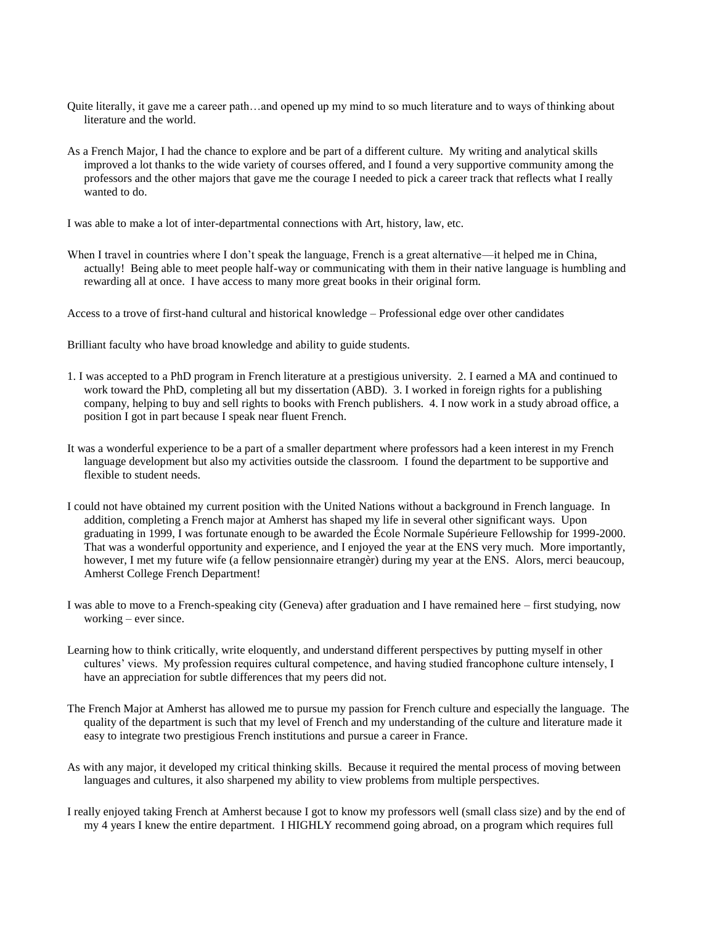- Quite literally, it gave me a career path…and opened up my mind to so much literature and to ways of thinking about literature and the world.
- As a French Major, I had the chance to explore and be part of a different culture. My writing and analytical skills improved a lot thanks to the wide variety of courses offered, and I found a very supportive community among the professors and the other majors that gave me the courage I needed to pick a career track that reflects what I really wanted to do.

I was able to make a lot of inter-departmental connections with Art, history, law, etc.

When I travel in countries where I don't speak the language, French is a great alternative—it helped me in China, actually! Being able to meet people half-way or communicating with them in their native language is humbling and rewarding all at once. I have access to many more great books in their original form.

Access to a trove of first-hand cultural and historical knowledge – Professional edge over other candidates

Brilliant faculty who have broad knowledge and ability to guide students.

- 1. I was accepted to a PhD program in French literature at a prestigious university. 2. I earned a MA and continued to work toward the PhD, completing all but my dissertation (ABD). 3. I worked in foreign rights for a publishing company, helping to buy and sell rights to books with French publishers. 4. I now work in a study abroad office, a position I got in part because I speak near fluent French.
- It was a wonderful experience to be a part of a smaller department where professors had a keen interest in my French language development but also my activities outside the classroom. I found the department to be supportive and flexible to student needs.
- I could not have obtained my current position with the United Nations without a background in French language. In addition, completing a French major at Amherst has shaped my life in several other significant ways. Upon graduating in 1999, I was fortunate enough to be awarded the École Normale Supérieure Fellowship for 1999-2000. That was a wonderful opportunity and experience, and I enjoyed the year at the ENS very much. More importantly, however, I met my future wife (a fellow pensionnaire etrangèr) during my year at the ENS. Alors, merci beaucoup, Amherst College French Department!
- I was able to move to a French-speaking city (Geneva) after graduation and I have remained here first studying, now working – ever since.
- Learning how to think critically, write eloquently, and understand different perspectives by putting myself in other cultures' views. My profession requires cultural competence, and having studied francophone culture intensely, I have an appreciation for subtle differences that my peers did not.
- The French Major at Amherst has allowed me to pursue my passion for French culture and especially the language. The quality of the department is such that my level of French and my understanding of the culture and literature made it easy to integrate two prestigious French institutions and pursue a career in France.
- As with any major, it developed my critical thinking skills. Because it required the mental process of moving between languages and cultures, it also sharpened my ability to view problems from multiple perspectives.
- I really enjoyed taking French at Amherst because I got to know my professors well (small class size) and by the end of my 4 years I knew the entire department. I HIGHLY recommend going abroad, on a program which requires full